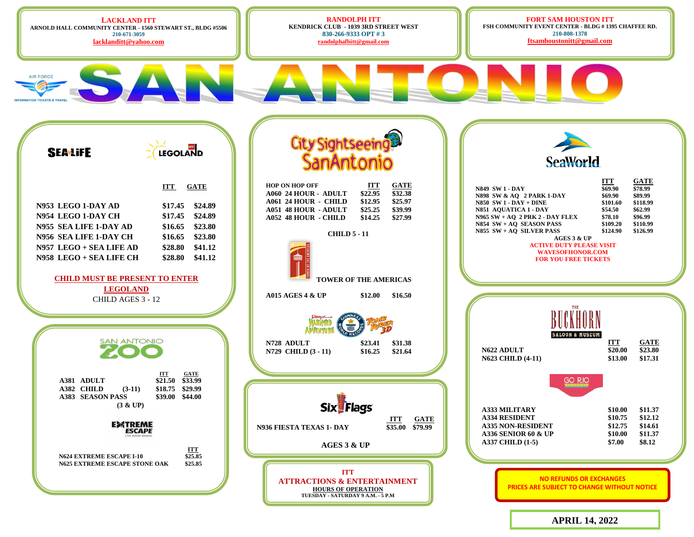**LACKLAND ITT ARNOLD HALL COMMUNITY CENTER - 1560 STEWART ST., BLDG #5506 210-671-3059**

**AIR FORCE** 

**[lacklanditt@yahoo.com](mailto:lacklanditt@yahoo.com)**

**RANDOLPH ITT KENDRICK CLUB - 1039 3RD STREET WEST 830-266-9333 OPT # 3 [randolphafbitt@gmail.com](mailto:randolphafbitt@gmail.com)**

**CHILD 5 - 11**

**AGES 3 & UP** 

**Six Flags** 

**ITT ATTRACTIONS & ENTERTAINMENT HOURS OF OPERATION TUESDAY - SATURDAY 9 A.M. - 5 P.M**

**TOWER OF THE AMERICAS**

**FORT SAM HOUSTON ITT FSH COMMUNITY EVENT CENTER - BLDG # 1395 CHAFFEE RD. 210-808-1378 [ftsamhoustonitt@gmail.com](mailto:ftsamhoustonitt@gmail.com)**



|                                                         | SeaWorld                                                                                                                                                                                                                                                                                                                |                                                                                     |                                                                                      |
|---------------------------------------------------------|-------------------------------------------------------------------------------------------------------------------------------------------------------------------------------------------------------------------------------------------------------------------------------------------------------------------------|-------------------------------------------------------------------------------------|--------------------------------------------------------------------------------------|
| <b>GATE</b><br>\$32.38<br>\$25.97<br>\$39.99<br>\$27.99 | <b>N849 SW1-DAY</b><br>N898 SW & AO 2 PARK 1-DAY<br>$N850$ SW $1$ - $DAY$ + $DINE$<br>N851 AQUATICA 1 - DAY<br>$N965$ SW + AQ 2 PRK 2 - DAY FLEX<br>$N854$ SW + AQ SEASON PASS<br>$N855 SW + AQ SLVER PASS$<br>AGES 3 & UP<br><b>ACTIVE DUTY PLEASE VISIT</b><br><b>WAVESOFHONOR.COM</b><br><b>FOR YOU FREE TICKETS</b> | ITT<br>\$69.90<br>\$69.90<br>\$101.60<br>\$54.50<br>\$78.10<br>\$109.20<br>\$124.90 | GATE<br>\$78.99<br>\$89.99<br>\$118.99<br>\$62.99<br>\$96.99<br>\$110.99<br>\$126.99 |
| <b>ERICAS</b>                                           |                                                                                                                                                                                                                                                                                                                         |                                                                                     |                                                                                      |
| \$16.50                                                 |                                                                                                                                                                                                                                                                                                                         |                                                                                     |                                                                                      |
| \$31.38<br>\$21.64                                      | BUCKHORN<br><b>SALOON &amp; MUSEUM</b><br><b>N622 ADULT</b><br><b>N623 CHILD (4-11)</b>                                                                                                                                                                                                                                 | ITT<br>\$20.00<br>\$13.00                                                           | GATE<br>\$23.80<br>\$17.31                                                           |
| ITT<br><b>GATE</b><br>\$35.00<br>\$79.99                | <b>GO RIO</b><br><b>A333 MILITARY</b><br><b>A334 RESIDENT</b><br><b>A335 NON-RESIDENT</b><br><b>A336 SENIOR 60 &amp; UP</b><br>A337 CHILD (1-5)                                                                                                                                                                         | \$10.00<br>\$10.75<br>\$12.75<br>\$10.00<br>\$7.00                                  | \$11.37<br>\$12.12<br>\$14.61<br>\$11.37<br>\$8.12                                   |
| INMENT<br>P.M                                           | <b>NO REFUNDS OR EXCHANGES</b><br><b>PRICES ARE SUBJECT TO CHANGE WITHOUT NOTICE</b>                                                                                                                                                                                                                                    |                                                                                     |                                                                                      |

**APRIL 14, 2022**